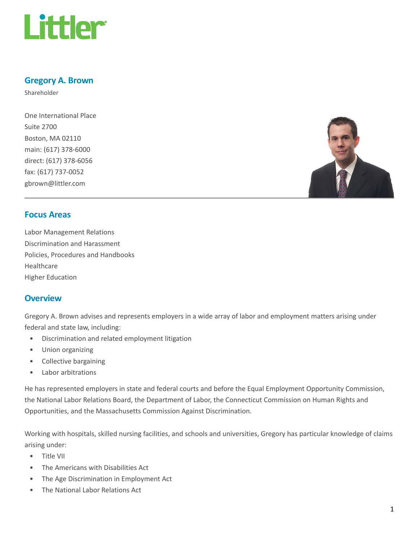

# Gregory A. Brown

Shareholder

One International Place Suite 2700 Boston, MA 02110 main: (617) 378-6000 direct: (617) 378-6056 fax: (617) 737-0052 gbrown@littler.com



# Focus Areas

Labor Management Relations Discrimination and Harassment Policies, Procedures and Handbooks Healthcare Higher Education

## **Overview**

Gregory A. Brown advises and represents employers in a wide array of labor and employment matters arising under federal and state law, including:

- Discrimination and related employment litigation
- Union organizing
- Collective bargaining
- Labor arbitrations

He has represented employers in state and federal courts and before the Equal Employment Opportunity Commission, the National Labor Relations Board, the Department of Labor, the Connecticut Commission on Human Rights and Opportunities, and the Massachusetts Commission Against Discrimination.

Working with hospitals, skilled nursing facilities, and schools and universities, Gregory has particular knowledge of claims arising under:

- Title VII
- The Americans with Disabilities Act
- The Age Discrimination in Employment Act
- The National Labor Relations Act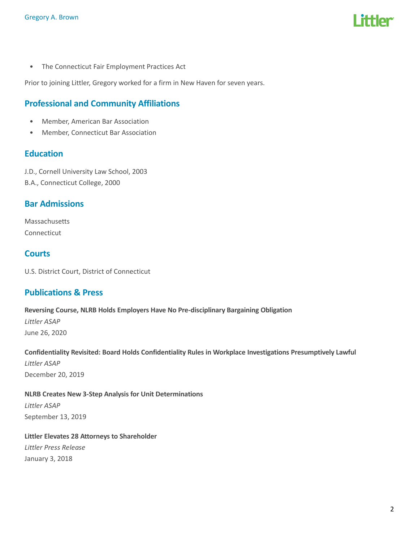

• The Connecticut Fair Employment Practices Act

Prior to joining Littler, Gregory worked for a firm in New Haven for seven years.

# Professional and Community Affiliations

- Member, American Bar Association
- Member, Connecticut Bar Association

## **Education**

J.D., Cornell University Law School, 2003 B.A., Connecticut College, 2000

## Bar Admissions

Massachusetts Connecticut

# **Courts**

U.S. District Court, District of Connecticut

## Publications & Press

Reversing Course, NLRB Holds Employers Have No Pre-disciplinary Bargaining Obligation Littler ASAP June 26, 2020

Confidentiality Revisited: Board Holds Confidentiality Rules in Workplace Investigations Presumptively Lawful Littler ASAP December 20, 2019

NLRB Creates New 3-Step Analysis for Unit Determinations Littler ASAP September 13, 2019

Littler Elevates 28 Attorneys to Shareholder Littler Press Release January 3, 2018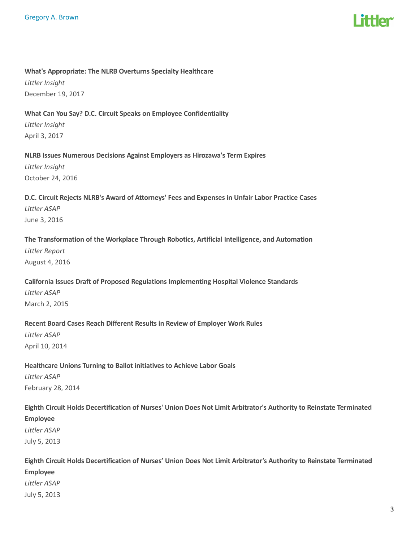#### What's Appropriate: The NLRB Overturns Specialty Healthcare

Littler Insight December 19, 2017

### What Can You Say? D.C. Circuit Speaks on Employee Confidentiality

Littler Insight April 3, 2017

## NLRB Issues Numerous Decisions Against Employers as Hirozawa's Term Expires

Littler Insight October 24, 2016

# D.C. Circuit Rejects NLRB's Award of Attorneys' Fees and Expenses in Unfair Labor Practice Cases Littler ASAP June 3, 2016

## The Transformation of the Workplace Through Robotics, Artificial Intelligence, and Automation

Littler Report August 4, 2016

# California Issues Draft of Proposed Regulations Implementing Hospital Violence Standards Littler ASAP March 2, 2015

# Recent Board Cases Reach Different Results in Review of Employer Work Rules Littler ASAP April 10, 2014

# Healthcare Unions Turning to Ballot initiatives to Achieve Labor Goals Littler ASAP February 28, 2014

# Eighth Circuit Holds Decertification of Nurses' Union Does Not Limit Arbitrator's Authority to Reinstate Terminated Employee Littler ASAP July 5, 2013

# Eighth Circuit Holds Decertification of Nurses' Union Does Not Limit Arbitrator's Authority to Reinstate Terminated Employee Littler ASAP July 5, 2013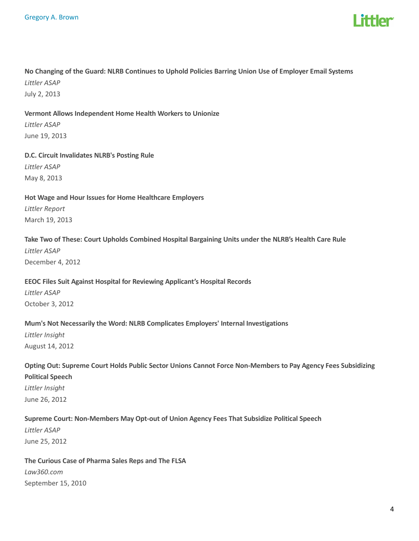

# No Changing of the Guard: NLRB Continues to Uphold Policies Barring Union Use of Employer Email Systems Littler ASAP

July 2, 2013

## Vermont Allows Independent Home Health Workers to Unionize

Littler ASAP June 19, 2013

## D.C. Circuit Invalidates NLRB's Posting Rule Littler ASAP

May 8, 2013

# Hot Wage and Hour Issues for Home Healthcare Employers Littler Report March 19, 2013

## Take Two of These: Court Upholds Combined Hospital Bargaining Units under the NLRB's Health Care Rule

Littler ASAP December 4, 2012

## EEOC Files Suit Against Hospital for Reviewing Applicant's Hospital Records

Littler ASAP October 3, 2012

## Mum's Not Necessarily the Word: NLRB Complicates Employers' Internal Investigations

Littler Insight August 14, 2012

# Opting Out: Supreme Court Holds Public Sector Unions Cannot Force Non-Members to Pay Agency Fees Subsidizing Political Speech Littler Insight

June 26, 2012

## Supreme Court: Non-Members May Opt-out of Union Agency Fees That Subsidize Political Speech

Littler ASAP June 25, 2012

## The Curious Case of Pharma Sales Reps and The FLSA Law360.com

September 15, 2010